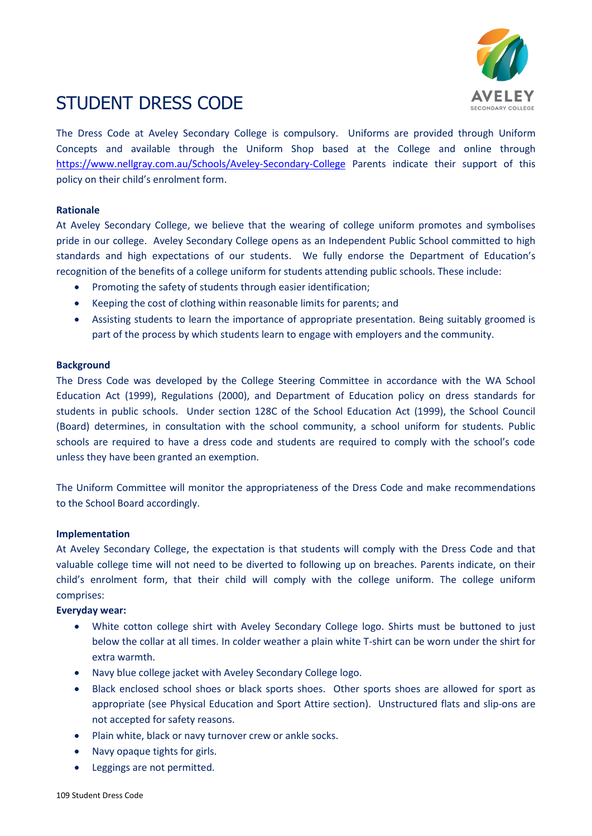

# STUDENT DRESS CODE

The Dress Code at Aveley Secondary College is compulsory. Uniforms are provided through Uniform Concepts and available through the Uniform Shop based at the College and online through <https://www.nellgray.com.au/Schools/Aveley-Secondary-College> Parents indicate their support of this policy on their child's enrolment form.

#### **Rationale**

At Aveley Secondary College, we believe that the wearing of college uniform promotes and symbolises pride in our college. Aveley Secondary College opens as an Independent Public School committed to high standards and high expectations of our students. We fully endorse the Department of Education's recognition of the benefits of a college uniform for students attending public schools. These include:

- Promoting the safety of students through easier identification;
- Keeping the cost of clothing within reasonable limits for parents; and
- Assisting students to learn the importance of appropriate presentation. Being suitably groomed is part of the process by which students learn to engage with employers and the community.

## **Background**

The Dress Code was developed by the College Steering Committee in accordance with the WA School Education Act (1999), Regulations (2000), and Department of Education policy on dress standards for students in public schools. Under section 128C of the School Education Act (1999), the School Council (Board) determines, in consultation with the school community, a school uniform for students. Public schools are required to have a dress code and students are required to comply with the school's code unless they have been granted an exemption.

The Uniform Committee will monitor the appropriateness of the Dress Code and make recommendations to the School Board accordingly.

#### **Implementation**

At Aveley Secondary College, the expectation is that students will comply with the Dress Code and that valuable college time will not need to be diverted to following up on breaches. Parents indicate, on their child's enrolment form, that their child will comply with the college uniform. The college uniform comprises:

## **Everyday wear:**

- White cotton college shirt with Aveley Secondary College logo. Shirts must be buttoned to just below the collar at all times. In colder weather a plain white T-shirt can be worn under the shirt for extra warmth.
- Navy blue college jacket with Aveley Secondary College logo.
- Black enclosed school shoes or black sports shoes. Other sports shoes are allowed for sport as appropriate (see Physical Education and Sport Attire section). Unstructured flats and slip-ons are not accepted for safety reasons.
- Plain white, black or navy turnover crew or ankle socks.
- Navy opaque tights for girls.
- Leggings are not permitted.